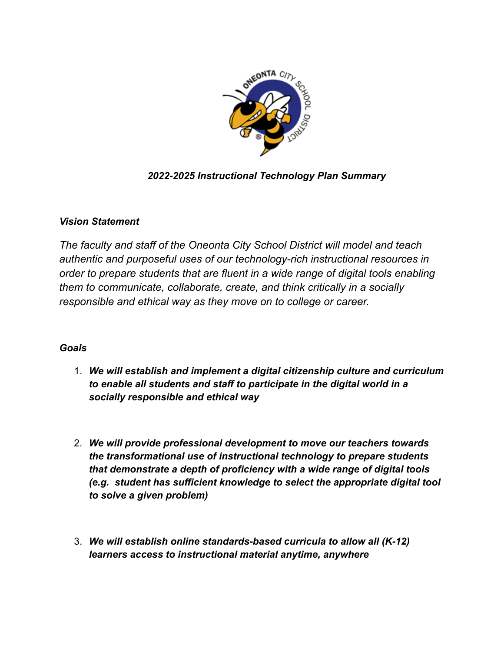

# *2022-2025 Instructional Technology Plan Summary*

# *Vision Statement*

*The faculty and staff of the Oneonta City School District will model and teach authentic and purposeful uses of our technology-rich instructional resources in order to prepare students that are fluent in a wide range of digital tools enabling them to communicate, collaborate, create, and think critically in a socially responsible and ethical way as they move on to college or career.*

# *Goals*

- 1. *We will establish and implement a digital citizenship culture and curriculum to enable all students and staff to participate in the digital world in a socially responsible and ethical way*
- 2. *We will provide professional development to move our teachers towards the transformational use of instructional technology to prepare students that demonstrate a depth of proficiency with a wide range of digital tools (e.g. student has sufficient knowledge to select the appropriate digital tool to solve a given problem)*
- 3. *We will establish online standards-based curricula to allow all (K-12) learners access to instructional material anytime, anywhere*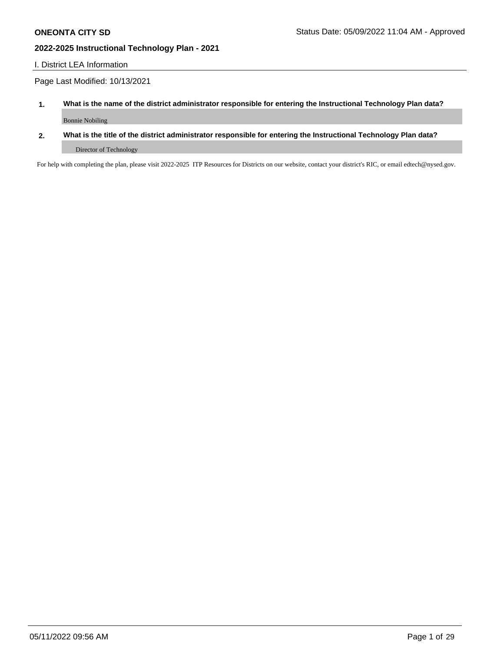### I. District LEA Information

Page Last Modified: 10/13/2021

- **1. What is the name of the district administrator responsible for entering the Instructional Technology Plan data?** Bonnie Nobiling
- **2. What is the title of the district administrator responsible for entering the Instructional Technology Plan data?** Director of Technology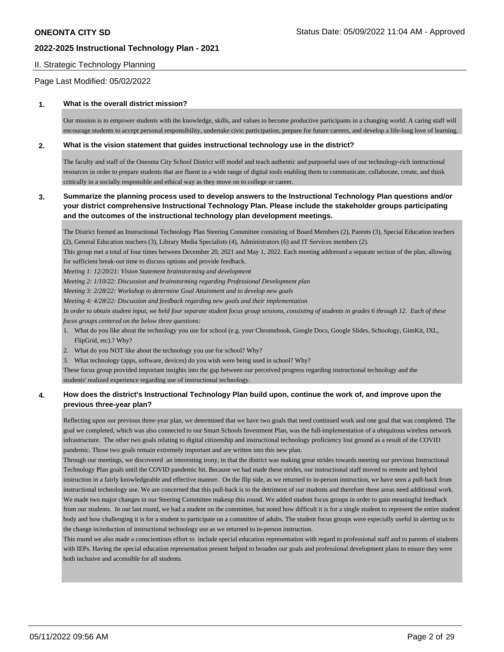### II. Strategic Technology Planning

Page Last Modified: 05/02/2022

#### **1. What is the overall district mission?**

Our mission is to empower students with the knowledge, skills, and values to become productive participants in a changing world. A caring staff will encourage students to accept personal responsibility, undertake civic participation, prepare for future careers, and develop a life-long love of learning.

#### **2. What is the vision statement that guides instructional technology use in the district?**

The faculty and staff of the Oneonta City School District will model and teach authentic and purposeful uses of our technology-rich instructional resources in order to prepare students that are fluent in a wide range of digital tools enabling them to communicate, collaborate, create, and think critically in a socially responsible and ethical way as they move on to college or career.

### **3. Summarize the planning process used to develop answers to the Instructional Technology Plan questions and/or your district comprehensive Instructional Technology Plan. Please include the stakeholder groups participating and the outcomes of the instructional technology plan development meetings.**

The District formed an Instructional Technology Plan Steering Committee consisting of Board Members (2), Parents (3), Special Education teachers (2), General Education teachers (3), Library Media Specialists (4), Administrators (6) and IT Services members (2).

This group met a total of four times between December 20, 2021 and May 1, 2022. Each meeting addressed a separate section of the plan, allowing for sufficient break-out time to discuss options and provide feedback.

*Meeting 1: 12/20/21: Vision Statement brainstorming and development*

*Meeting 2: 1/10/22: Discussion and brainstorming regarding Professional Development plan*

*Meeting 3: 2/28/22: Workshop to determine Goal Attainment and to develop new goals*

*Meeting 4: 4/28/22: Discussion and feedback regarding new goals and their implementation*

*In order to obtain student input, we held four separate student focus group sessions, consisting of students in grades 6 through 12. Each of these focus groups centered on the below three questions:*

1. What do you like about the technology you use for school (e.g. your Chromebook, Google Docs, Google Slides, Schoology, GimKit, IXL, FlipGrid, etc).? Why?

2. What do you NOT like about the technology you use for school? Why?

3. What technology (apps, software, devices) do you wish were being used in school? Why?

These focus group provided important insights into the gap between our perceived progress regarding instructional technology and the students' realized experience regarding use of instructional technology.

### **4. How does the district's Instructional Technology Plan build upon, continue the work of, and improve upon the previous three-year plan?**

Reflecting upon our previous three-year plan, we determined that we have two goals that need continued work and one goal that was completed. The goal we completed, which was also connected to our Smart Schools Investment Plan, was the full-implementation of a ubiquitous wireless network infrastructure. The other two goals relating to digital citizenship and instructional technology proficiency lost ground as a result of the COVID pandemic. Those two goals remain extremely important and are written into this new plan.

Through our meetings, we discovered an interesting irony, in that the district was making great strides towards meeting our previous Instructional Technology Plan goals until the COVID pandemic hit. Because we had made these strides, our instructional staff moved to remote and hybrid instruction in a fairly knowledgeable and effective manner. On the flip side, as we returned to in-person instruction, we have seen a pull-back from instructional technology use. We are concerned that this pull-back is to the detriment of our students and therefore these areas need additional work. We made two major changes in our Steering Committee makeup this round. We added student focus groups in order to gain meaningful feedback from our students. In our last round, we had a student on the committee, but noted how difficult it is for a single student to represent the entire student body and how challenging it is for a student to participate on a committee of adults. The student focus groups were especially useful in alerting us to the change in/reduction of instructional technology use as we returned to in-person instruction.

This round we also made a conscientious effort to include special education representation with regard to professional staff and to parents of students with IEPs. Having the special education representation present helped to broaden our goals and professional development plans to ensure they were both inclusive and accessible for all students.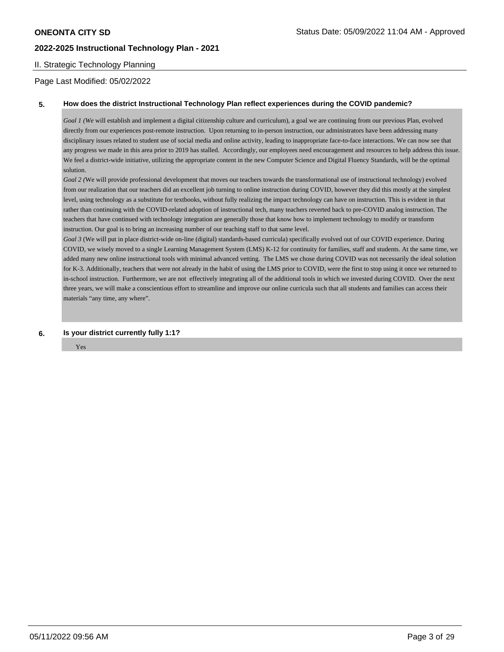### II. Strategic Technology Planning

Page Last Modified: 05/02/2022

#### **5. How does the district Instructional Technology Plan reflect experiences during the COVID pandemic?**

*Goal 1 (We* will establish and implement a digital citizenship culture and curriculum), a goal we are continuing from our previous Plan, evolved directly from our experiences post-remote instruction. Upon returning to in-person instruction, our administrators have been addressing many disciplinary issues related to student use of social media and online activity, leading to inappropriate face-to-face interactions. We can now see that any progress we made in this area prior to 2019 has stalled. Accordingly, our employees need encouragement and resources to help address this issue. We feel a district-wide initiative, utilizing the appropriate content in the new Computer Science and Digital Fluency Standards, will be the optimal solution.

*Goal 2 (*We will provide professional development that moves our teachers towards the transformational use of instructional technology) evolved from our realization that our teachers did an excellent job turning to online instruction during COVID, however they did this mostly at the simplest level, using technology as a substitute for textbooks, without fully realizing the impact technology can have on instruction. This is evident in that rather than continuing with the COVID-related adoption of instructional tech, many teachers reverted back to pre-COVID analog instruction. The teachers that have continued with technology integration are generally those that know how to implement technology to modify or transform instruction. Our goal is to bring an increasing number of our teaching staff to that same level.

*Goal 3* (We will put in place district-wide on-line (digital) standards-based curricula) specifically evolved out of our COVID experience. During COVID, we wisely moved to a single Learning Management System (LMS) K-12 for continuity for families, staff and students. At the same time, we added many new online instructional tools with minimal advanced vetting. The LMS we chose during COVID was not necessarily the ideal solution for K-3. Additionally, teachers that were not already in the habit of using the LMS prior to COVID, were the first to stop using it once we returned to in-school instruction. Furthermore, we are not effectively integrating all of the additional tools in which we invested during COVID. Over the next three years, we will make a conscientious effort to streamline and improve our online curricula such that all students and families can access their materials "any time, any where".

**6. Is your district currently fully 1:1?** 

Yes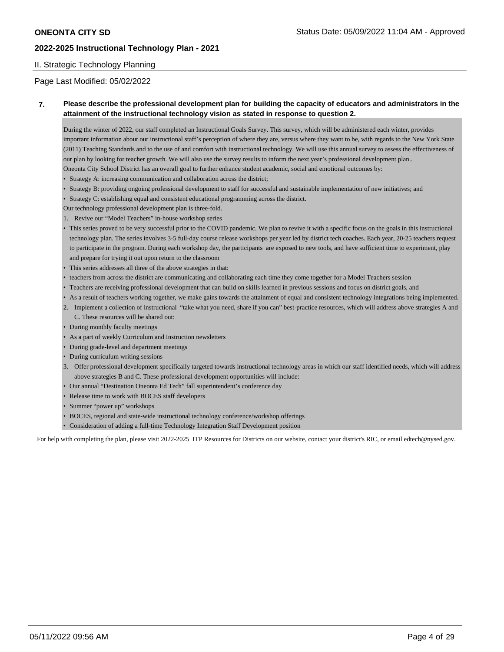#### II. Strategic Technology Planning

Page Last Modified: 05/02/2022

### **7. Please describe the professional development plan for building the capacity of educators and administrators in the attainment of the instructional technology vision as stated in response to question 2.**

During the winter of 2022, our staff completed an Instructional Goals Survey. This survey, which will be administered each winter, provides important information about our instructional staff's perception of where they are, versus where they want to be, with regards to the New York State (2011) Teaching Standards and to the use of and comfort with instructional technology. We will use this annual survey to assess the effectiveness of our plan by looking for teacher growth. We will also use the survey results to inform the next year's professional development plan.. Oneonta City School District has an overall goal to further enhance student academic, social and emotional outcomes by:

- Strategy A: increasing communication and collaboration across the district;
- Strategy B: providing ongoing professional development to staff for successful and sustainable implementation of new initiatives; and
- Strategy C: establishing equal and consistent educational programming across the district.

Our technology professional development plan is three-fold.

- 1. Revive our "Model Teachers" in-house workshop series
- This series proved to be very successful prior to the COVID pandemic. We plan to revive it with a specific focus on the goals in this instructional technology plan. The series involves 3-5 full-day course release workshops per year led by district tech coaches. Each year, 20-25 teachers request to participate in the program. During each workshop day, the participants are exposed to new tools, and have sufficient time to experiment, play and prepare for trying it out upon return to the classroom
- This series addresses all three of the above strategies in that:
- teachers from across the district are communicating and collaborating each time they come together for a Model Teachers session
- Teachers are receiving professional development that can build on skills learned in previous sessions and focus on district goals, and
- As a result of teachers working together, we make gains towards the attainment of equal and consistent technology integrations being implemented.
- 2. Implement a collection of instructional "take what you need, share if you can" best-practice resources, which will address above strategies A and C. These resources will be shared out:
- During monthly faculty meetings
- As a part of weekly Curriculum and Instruction newsletters
- During grade-level and department meetings
- During curriculum writing sessions
- 3. Offer professional development specifically targeted towards instructional technology areas in which our staff identified needs, which will address above strategies B and C. These professional development opportunities will include:
- Our annual "Destination Oneonta Ed Tech" fall superintendent's conference day
- Release time to work with BOCES staff developers
- Summer "power up" workshops
- BOCES, regional and state-wide instructional technology conference/workshop offerings
- Consideration of adding a full-time Technology Integration Staff Development position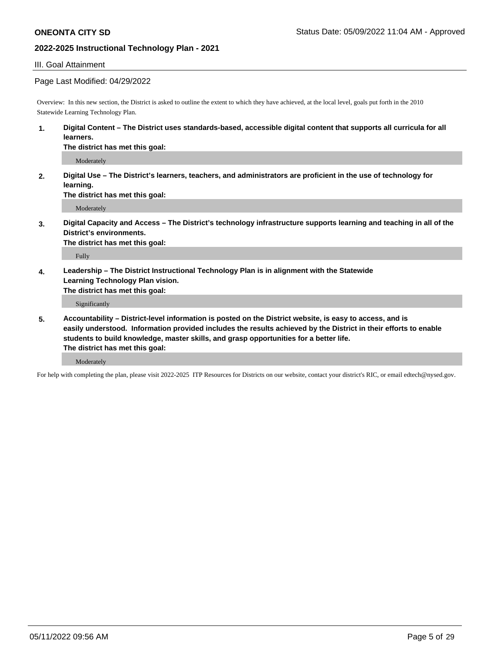#### III. Goal Attainment

#### Page Last Modified: 04/29/2022

Overview: In this new section, the District is asked to outline the extent to which they have achieved, at the local level, goals put forth in the 2010 Statewide Learning Technology Plan.

**1. Digital Content – The District uses standards-based, accessible digital content that supports all curricula for all learners.** 

**The district has met this goal:** 

Moderately

**2. Digital Use – The District's learners, teachers, and administrators are proficient in the use of technology for learning.**

**The district has met this goal:** 

Moderately

**3. Digital Capacity and Access – The District's technology infrastructure supports learning and teaching in all of the District's environments.** 

**The district has met this goal:** 

Fully

**4. Leadership – The District Instructional Technology Plan is in alignment with the Statewide Learning Technology Plan vision.** 

**The district has met this goal:** 

Significantly

**5. Accountability – District-level information is posted on the District website, is easy to access, and is easily understood. Information provided includes the results achieved by the District in their efforts to enable students to build knowledge, master skills, and grasp opportunities for a better life. The district has met this goal:** 

Moderately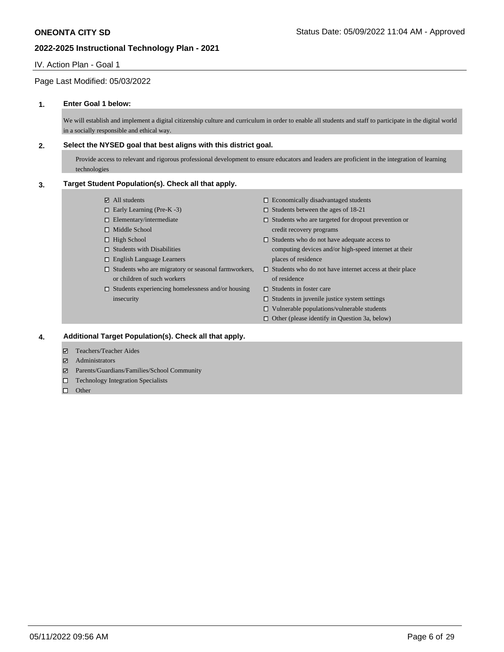#### IV. Action Plan - Goal 1

### Page Last Modified: 05/03/2022

#### **1. Enter Goal 1 below:**

We will establish and implement a digital citizenship culture and curriculum in order to enable all students and staff to participate in the digital world in a socially responsible and ethical way.

#### **2. Select the NYSED goal that best aligns with this district goal.**

Provide access to relevant and rigorous professional development to ensure educators and leaders are proficient in the integration of learning technologies

#### **3. Target Student Population(s). Check all that apply.**

- All students
- $\Box$  Early Learning (Pre-K -3)
- $\square$  Elementary/intermediate
- $\hfill \square$  Middle School
- $\Box$  High School
- $\square$  Students with Disabilities
- English Language Learners
- $\square$  Students who are migratory or seasonal farmworkers, or children of such workers
- $\square$  Students experiencing homelessness and/or housing insecurity
- $\Box$  Economically disadvantaged students
- $\Box$  Students between the ages of 18-21
- $\square$  Students who are targeted for dropout prevention or credit recovery programs
- $\square$  Students who do not have adequate access to computing devices and/or high-speed internet at their places of residence
- $\square$  Students who do not have internet access at their place of residence
- $\square$  Students in foster care
- $\square$  Students in juvenile justice system settings
- $\square$  Vulnerable populations/vulnerable students
- $\Box$  Other (please identify in Question 3a, below)

#### **4. Additional Target Population(s). Check all that apply.**

- Teachers/Teacher Aides
- **Administrators**
- Parents/Guardians/Families/School Community
- □ Technology Integration Specialists
- $\square$  Other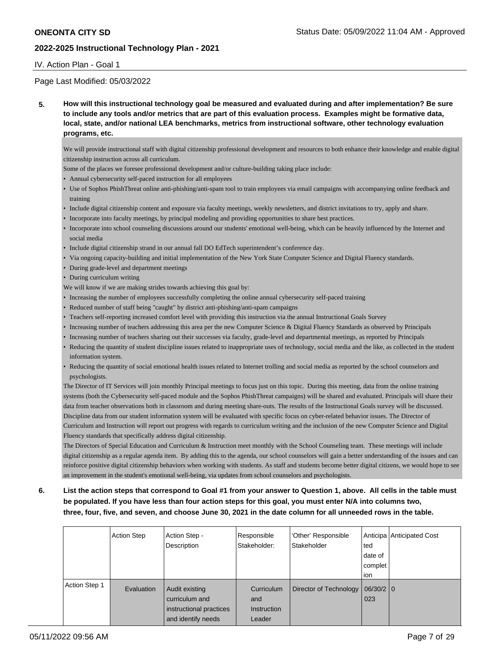#### IV. Action Plan - Goal 1

### Page Last Modified: 05/03/2022

**5. How will this instructional technology goal be measured and evaluated during and after implementation? Be sure to include any tools and/or metrics that are part of this evaluation process. Examples might be formative data, local, state, and/or national LEA benchmarks, metrics from instructional software, other technology evaluation programs, etc.** 

We will provide instructional staff with digital citizenship professional development and resources to both enhance their knowledge and enable digital citizenship instruction across all curriculum.

Some of the places we foresee professional development and/or culture-building taking place include:

- Annual cybersecurity self-paced instruction for all employees
- Use of Sophos PhishThreat online anti-phishing/anti-spam tool to train employees via email campaigns with accompanying online feedback and training
- Include digital citizenship content and exposure via faculty meetings, weekly newsletters, and district invitations to try, apply and share.
- Incorporate into faculty meetings, by principal modeling and providing opportunities to share best practices.
- Incorporate into school counseling discussions around our students' emotional well-being, which can be heavily influenced by the Internet and social media
- Include digital citizenship strand in our annual fall DO EdTech superintendent's conference day.
- Via ongoing capacity-building and initial implementation of the New York State Computer Science and Digital Fluency standards.
- During grade-level and department meetings
- During curriculum writing
- We will know if we are making strides towards achieving this goal by:
- Increasing the number of employees successfully completing the online annual cybersecurity self-paced training
- Reduced number of staff being "caught" by district anti-phishing/anti-spam campaigns
- Teachers self-reporting increased comfort level with providing this instruction via the annual Instructional Goals Survey
- Increasing number of teachers addressing this area per the new Computer Science & Digital Fluency Standards as observed by Principals
- Increasing number of teachers sharing out their successes via faculty, grade-level and departmental meetings, as reported by Principals
- Reducing the quantity of student discipline issues related to inappropriate uses of technology, social media and the like, as collected in the student information system.
- Reducing the quantity of social emotional health issues related to Internet trolling and social media as reported by the school counselors and psychologists.

The Director of IT Services will join monthly Principal meetings to focus just on this topic. During this meeting, data from the online training systems (both the Cybersecurity self-paced module and the Sophos PhishThreat campaigns) will be shared and evaluated. Principals will share their data from teacher observations both in classroom and during meeting share-outs. The results of the Instructional Goals survey will be discussed. Discipline data from our student information system will be evaluated with specific focus on cyber-related behavior issues. The Director of Curriculum and Instruction will report out progress with regards to curriculum writing and the inclusion of the new Computer Science and Digital Fluency standards that specifically address digital citizenship.

The Directors of Special Education and Curriculum & Instruction meet monthly with the School Counseling team. These meetings will include digital citizenship as a regular agenda item. By adding this to the agenda, our school counselors will gain a better understanding of the issues and can reinforce positive digital citizenship behaviors when working with students. As staff and students become better digital citizens, we would hope to see an improvement in the student's emotional well-being, via updates from school counselors and psychologists.

**6. List the action steps that correspond to Goal #1 from your answer to Question 1, above. All cells in the table must be populated. If you have less than four action steps for this goal, you must enter N/A into columns two, three, four, five, and seven, and choose June 30, 2021 in the date column for all unneeded rows in the table.** 

|               | <b>Action Step</b> | Action Step -<br>Description                                                      | Responsible<br>Stakeholder:                | 'Other' Responsible<br>Stakeholder | ted<br>date of<br>complet<br>ion | Anticipa Anticipated Cost |
|---------------|--------------------|-----------------------------------------------------------------------------------|--------------------------------------------|------------------------------------|----------------------------------|---------------------------|
| Action Step 1 | Evaluation         | Audit existing<br>curriculum and<br>instructional practices<br>and identify needs | Curriculum<br>and<br>Instruction<br>Leader | Director of Technology             | 06/30/20<br>$\overline{023}$     |                           |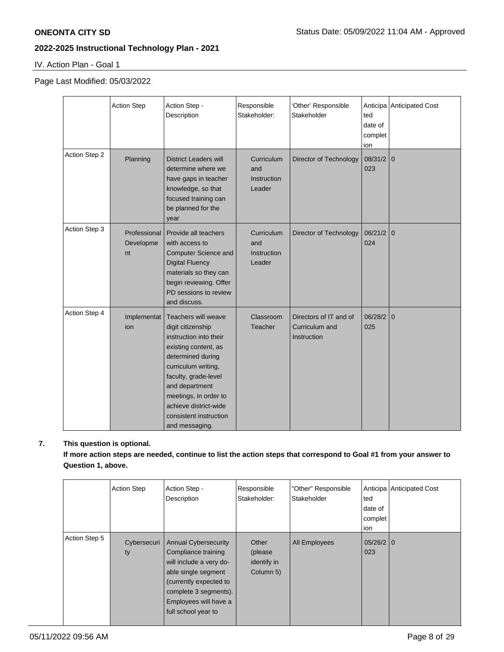IV. Action Plan - Goal 1

### Page Last Modified: 05/03/2022

|               | <b>Action Step</b>              | Action Step -<br>Description                                                                                                                                                                                                                                                          | Responsible<br>Stakeholder:                | 'Other' Responsible<br>Stakeholder                      | ted<br>date of<br>complet<br>ion | Anticipa Anticipated Cost |
|---------------|---------------------------------|---------------------------------------------------------------------------------------------------------------------------------------------------------------------------------------------------------------------------------------------------------------------------------------|--------------------------------------------|---------------------------------------------------------|----------------------------------|---------------------------|
| Action Step 2 | Planning                        | <b>District Leaders will</b><br>determine where we<br>have gaps in teacher<br>knowledge, so that<br>focused training can<br>be planned for the<br>year                                                                                                                                | Curriculum<br>and<br>Instruction<br>Leader | Director of Technology                                  | $08/31/2$ 0<br>023               |                           |
| Action Step 3 | Professional<br>Developme<br>nt | Provide all teachers<br>with access to<br><b>Computer Science and</b><br><b>Digital Fluency</b><br>materials so they can<br>begin reviewing. Offer<br>PD sessions to review<br>and discuss.                                                                                           | Curriculum<br>and<br>Instruction<br>Leader | Director of Technology                                  | $06/21/2$ 0<br>024               |                           |
| Action Step 4 | Implementat<br>ion              | <b>Teachers will weave</b><br>digit citizenship<br>instruction into their<br>existing content, as<br>determined during<br>curriculum writing,<br>faculty, grade-level<br>and department<br>meetings, in order to<br>achieve district-wide<br>consistent instruction<br>and messaging. | Classroom<br>Teacher                       | Directors of IT and of<br>Curriculum and<br>Instruction | 06/28/2<br>025                   | l 0                       |

## **7. This question is optional.**

**If more action steps are needed, continue to list the action steps that correspond to Goal #1 from your answer to Question 1, above.**

|               | <b>Action Step</b> | Action Step -<br>Description                                                                                                                                                                            | Responsible<br>Stakeholder:                  | "Other" Responsible<br>Stakeholder | ted<br>date of<br>complet<br>ion | Anticipa Anticipated Cost |
|---------------|--------------------|---------------------------------------------------------------------------------------------------------------------------------------------------------------------------------------------------------|----------------------------------------------|------------------------------------|----------------------------------|---------------------------|
| Action Step 5 | Cybersecuri<br>ty  | <b>Annual Cybersecurity</b><br>Compliance training<br>will include a very do-<br>able single segment<br>(currently expected to<br>complete 3 segments).<br>Employees will have a<br>full school year to | Other<br>(please<br>identify in<br>Column 5) | <b>All Employees</b>               | $05/26/2$ 0<br>023               |                           |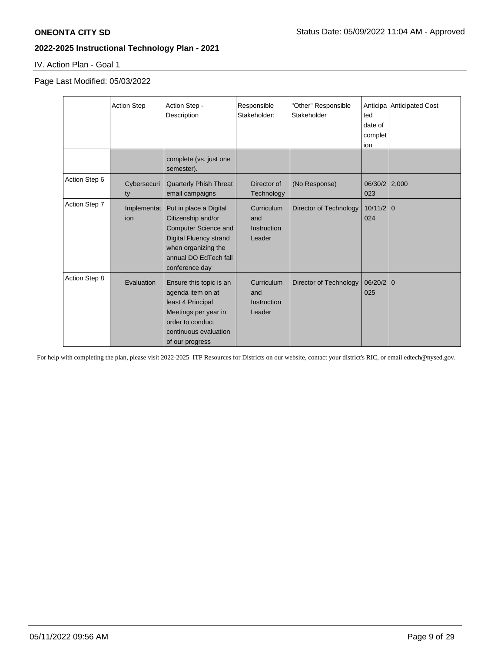IV. Action Plan - Goal 1

Page Last Modified: 05/03/2022

|               | <b>Action Step</b> | Action Step -<br>Description                                                                                                                                                   | Responsible<br>Stakeholder:                       | "Other" Responsible<br>Stakeholder | ted<br>date of<br>complet<br>ion | Anticipa Anticipated Cost |
|---------------|--------------------|--------------------------------------------------------------------------------------------------------------------------------------------------------------------------------|---------------------------------------------------|------------------------------------|----------------------------------|---------------------------|
|               |                    | complete (vs. just one<br>semester).                                                                                                                                           |                                                   |                                    |                                  |                           |
| Action Step 6 | Cybersecuri<br>ty  | <b>Quarterly Phish Threat</b><br>email campaigns                                                                                                                               | Director of<br>Technology                         | (No Response)                      | 06/30/2 2,000<br>023             |                           |
| Action Step 7 | Implementat<br>ion | Put in place a Digital<br>Citizenship and/or<br><b>Computer Science and</b><br><b>Digital Fluency strand</b><br>when organizing the<br>annual DO EdTech fall<br>conference day | Curriculum<br>and<br><b>Instruction</b><br>Leader | Director of Technology             | $10/11/2$ 0<br>024               |                           |
| Action Step 8 | Evaluation         | Ensure this topic is an<br>agenda item on at<br>least 4 Principal<br>Meetings per year in<br>order to conduct<br>continuous evaluation<br>of our progress                      | Curriculum<br>and<br><b>Instruction</b><br>Leader | Director of Technology             | 06/20/2<br>025                   | $\mathbf{0}$              |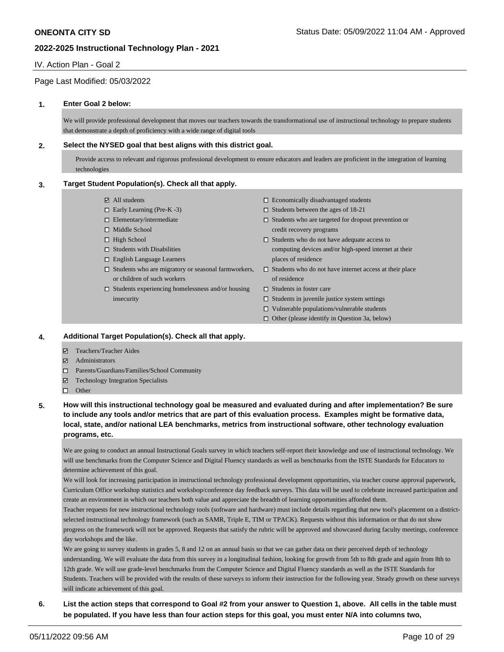#### IV. Action Plan - Goal 2

### Page Last Modified: 05/03/2022

#### **1. Enter Goal 2 below:**

We will provide professional development that moves our teachers towards the transformational use of instructional technology to prepare students that demonstrate a depth of proficiency with a wide range of digital tools

#### **2. Select the NYSED goal that best aligns with this district goal.**

Provide access to relevant and rigorous professional development to ensure educators and leaders are proficient in the integration of learning technologies

#### **3. Target Student Population(s). Check all that apply.**

- All students
- $\Box$  Early Learning (Pre-K -3)
- $\square$  Elementary/intermediate
- □ Middle School
- $\Box$  High School
- $\square$  Students with Disabilities
- English Language Learners
- $\Box$  Students who are migratory or seasonal farmworkers, or children of such workers
- $\square$  Students experiencing homelessness and/or housing insecurity
- $\Box$  Economically disadvantaged students
- $\Box$  Students between the ages of 18-21
- $\square$  Students who are targeted for dropout prevention or credit recovery programs
- $\square$  Students who do not have adequate access to computing devices and/or high-speed internet at their places of residence
- $\square$  Students who do not have internet access at their place of residence
- $\square$  Students in foster care
- $\square$  Students in juvenile justice system settings
- $\square$  Vulnerable populations/vulnerable students
- $\Box$  Other (please identify in Question 3a, below)

#### **4. Additional Target Population(s). Check all that apply.**

- Teachers/Teacher Aides
- Administrators
- Parents/Guardians/Families/School Community
- Technology Integration Specialists
- □ Other
- **5. How will this instructional technology goal be measured and evaluated during and after implementation? Be sure to include any tools and/or metrics that are part of this evaluation process. Examples might be formative data, local, state, and/or national LEA benchmarks, metrics from instructional software, other technology evaluation programs, etc.**

We are going to conduct an annual Instructional Goals survey in which teachers self-report their knowledge and use of instructional technology. We will use benchmarks from the Computer Science and Digital Fluency standards as well as benchmarks from the ISTE Standards for Educators to determine achievement of this goal.

We will look for increasing participation in instructional technology professional development opportunities, via teacher course approval paperwork, Curriculum Office workshop statistics and workshop/conference day feedback surveys. This data will be used to celebrate increased participation and create an environment in which our teachers both value and appreciate the breadth of learning opportunities afforded them.

Teacher requests for new instructional technology tools (software and hardware) must include details regarding that new tool's placement on a districtselected instructional technology framework (such as SAMR, Triple E, TIM or TPACK). Requests without this information or that do not show progress on the framework will not be approved. Requests that satisfy the rubric will be approved and showcased during faculty meetings, conference day workshops and the like.

We are going to survey students in grades 5, 8 and 12 on an annual basis so that we can gather data on their perceived depth of technology understanding. We will evaluate the data from this survey in a longitudinal fashion, looking for growth from 5th to 8th grade and again from 8th to 12th grade. We will use grade-level benchmarks from the Computer Science and Digital Fluency standards as well as the ISTE Standards for Students. Teachers will be provided with the results of these surveys to inform their instruction for the following year. Steady growth on these surveys will indicate achievement of this goal.

**6. List the action steps that correspond to Goal #2 from your answer to Question 1, above. All cells in the table must be populated. If you have less than four action steps for this goal, you must enter N/A into columns two,**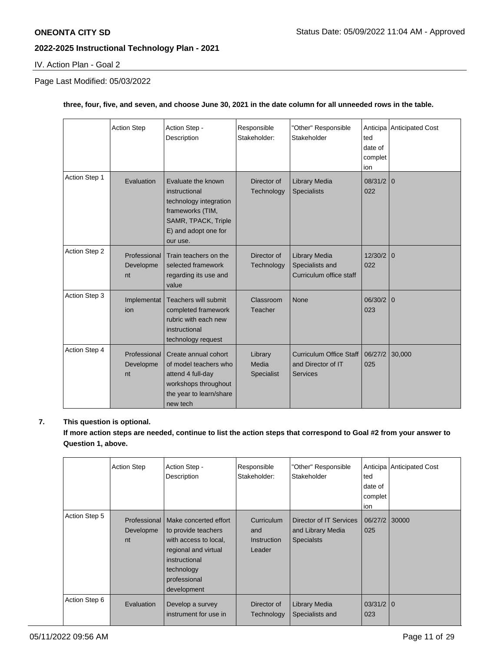IV. Action Plan - Goal 2

## Page Last Modified: 05/03/2022

### **three, four, five, and seven, and choose June 30, 2021 in the date column for all unneeded rows in the table.**

|               | <b>Action Step</b>              | Action Step -<br>Description                                                                                                                 | Responsible<br>Stakeholder:    | "Other" Responsible<br>Stakeholder                               | ted<br>date of<br>complet<br>ion | Anticipa Anticipated Cost |
|---------------|---------------------------------|----------------------------------------------------------------------------------------------------------------------------------------------|--------------------------------|------------------------------------------------------------------|----------------------------------|---------------------------|
| Action Step 1 | Evaluation                      | Evaluate the known<br>instructional<br>technology integration<br>frameworks (TIM,<br>SAMR, TPACK, Triple<br>E) and adopt one for<br>our use. | Director of<br>Technology      | Library Media<br><b>Specialists</b>                              | $08/31/2$ 0<br>022               |                           |
| Action Step 2 | Professional<br>Developme<br>nt | Train teachers on the<br>selected framework<br>regarding its use and<br>value                                                                | Director of<br>Technology      | Library Media<br>Specialists and<br>Curriculum office staff      | $12/30/2$ 0<br>022               |                           |
| Action Step 3 | Implementat<br>ion              | Teachers will submit<br>completed framework<br>rubric with each new<br>instructional<br>technology request                                   | Classroom<br>Teacher           | None                                                             | $06/30/2$ 0<br>023               |                           |
| Action Step 4 | Professional<br>Developme<br>nt | Create annual cohort<br>of model teachers who<br>attend 4 full-day<br>workshops throughout<br>the year to learn/share<br>new tech            | Library<br>Media<br>Specialist | <b>Curriculum Office Staff</b><br>and Director of IT<br>Services | 06/27/2<br>025                   | 30,000                    |

### **7. This question is optional.**

**If more action steps are needed, continue to list the action steps that correspond to Goal #2 from your answer to Question 1, above.**

|               | <b>Action Step</b> | Action Step -<br>Description                                                                                                                                               | Responsible<br>Stakeholder:                | "Other" Responsible<br>Stakeholder                                | ted<br>date of<br>complet<br>ion | Anticipa Anticipated Cost |
|---------------|--------------------|----------------------------------------------------------------------------------------------------------------------------------------------------------------------------|--------------------------------------------|-------------------------------------------------------------------|----------------------------------|---------------------------|
| Action Step 5 | Developme<br>nt    | Professional   Make concerted effort<br>to provide teachers<br>with access to local,<br>regional and virtual<br>instructional<br>technology<br>professional<br>development | Curriculum<br>and<br>Instruction<br>Leader | Director of IT Services<br>and Library Media<br><b>Specialsts</b> | 06/27/2<br>025                   | 30000                     |
| Action Step 6 | Evaluation         | Develop a survey<br>instrument for use in                                                                                                                                  | Director of<br>Technology                  | <b>Library Media</b><br>Specialists and                           | $03/31/2$ 0<br>023               |                           |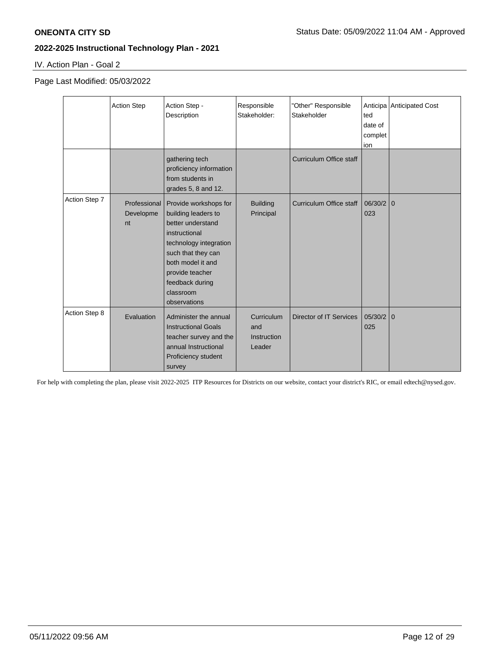IV. Action Plan - Goal 2

Page Last Modified: 05/03/2022

|               | <b>Action Step</b>              | Action Step -<br>Description                                                                                                                                                                                               | Responsible<br>Stakeholder:                       | "Other" Responsible<br>Stakeholder | ted<br>date of<br>complet<br>ion | Anticipa Anticipated Cost |
|---------------|---------------------------------|----------------------------------------------------------------------------------------------------------------------------------------------------------------------------------------------------------------------------|---------------------------------------------------|------------------------------------|----------------------------------|---------------------------|
|               |                                 | gathering tech<br>proficiency information<br>from students in<br>grades $5, 8$ and $12.$                                                                                                                                   |                                                   | <b>Curriculum Office staff</b>     |                                  |                           |
| Action Step 7 | Professional<br>Developme<br>nt | Provide workshops for<br>building leaders to<br>better understand<br>instructional<br>technology integration<br>such that they can<br>both model it and<br>provide teacher<br>feedback during<br>classroom<br>observations | <b>Building</b><br>Principal                      | Curriculum Office staff            | 06/30/2<br>023                   | $\overline{0}$            |
| Action Step 8 | Evaluation                      | Administer the annual<br><b>Instructional Goals</b><br>teacher survey and the<br>annual Instructional<br>Proficiency student<br>survey                                                                                     | Curriculum<br>and<br><b>Instruction</b><br>Leader | <b>Director of IT Services</b>     | 05/30/2<br>025                   | $\overline{0}$            |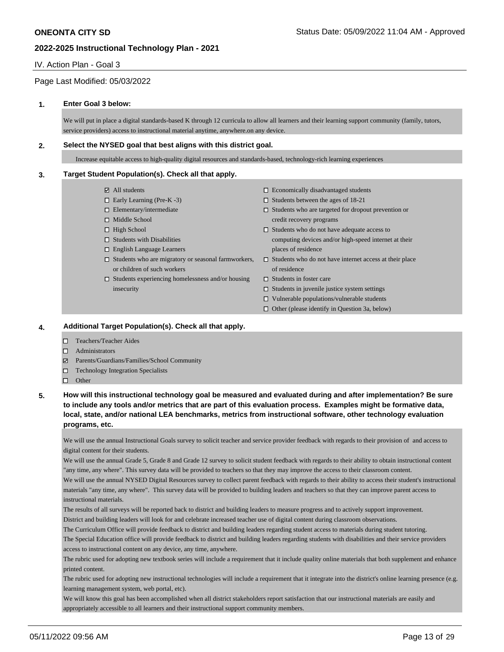### IV. Action Plan - Goal 3

### Page Last Modified: 05/03/2022

#### **1. Enter Goal 3 below:**

We will put in place a digital standards-based K through 12 curricula to allow all learners and their learning support community (family, tutors, service providers) access to instructional material anytime, anywhere.on any device.

#### **2. Select the NYSED goal that best aligns with this district goal.**

Increase equitable access to high-quality digital resources and standards-based, technology-rich learning experiences

#### **3. Target Student Population(s). Check all that apply.**

- All students
- $\Box$  Early Learning (Pre-K -3)
- $\square$  Elementary/intermediate
- □ Middle School
- $\Box$  High School
- $\square$  Students with Disabilities
- English Language Learners
- or children of such workers
- $\square$  Students experiencing homelessness and/or housing insecurity
- $\Box$  Economically disadvantaged students
- $\square$  Students between the ages of 18-21
- $\square$  Students who are targeted for dropout prevention or credit recovery programs
- $\square$  Students who do not have adequate access to computing devices and/or high-speed internet at their places of residence
- Students who are migratory or seasonal farmworkers, Students who do not have internet access at their place of residence
	- $\Box$  Students in foster care
	- $\square$  Students in juvenile justice system settings
	- $\square$  Vulnerable populations/vulnerable students
	- $\Box$  Other (please identify in Question 3a, below)

#### **4. Additional Target Population(s). Check all that apply.**

- Teachers/Teacher Aides
- Administrators
- Parents/Guardians/Families/School Community
- □ Technology Integration Specialists
- □ Other
- **5. How will this instructional technology goal be measured and evaluated during and after implementation? Be sure to include any tools and/or metrics that are part of this evaluation process. Examples might be formative data, local, state, and/or national LEA benchmarks, metrics from instructional software, other technology evaluation programs, etc.**

We will use the annual Instructional Goals survey to solicit teacher and service provider feedback with regards to their provision of and access to digital content for their students.

We will use the annual Grade 5, Grade 8 and Grade 12 survey to solicit student feedback with regards to their ability to obtain instructional content "any time, any where". This survey data will be provided to teachers so that they may improve the access to their classroom content.

We will use the annual NYSED Digital Resources survey to collect parent feedback with regards to their ability to access their student's instructional materials "any time, any where". This survey data will be provided to building leaders and teachers so that they can improve parent access to instructional materials.

The results of all surveys will be reported back to district and building leaders to measure progress and to actively support improvement. District and building leaders will look for and celebrate increased teacher use of digital content during classroom observations.

The Curriculum Office will provide feedback to district and building leaders regarding student access to materials during student tutoring.

The Special Education office will provide feedback to district and building leaders regarding students with disabilities and their service providers access to instructional content on any device, any time, anywhere.

The rubric used for adopting new textbook series will include a requirement that it include quality online materials that both supplement and enhance printed content.

The rubric used for adopting new instructional technologies will include a requirement that it integrate into the district's online learning presence (e.g. learning management system, web portal, etc).

We will know this goal has been accomplished when all district stakeholders report satisfaction that our instructional materials are easily and appropriately accessible to all learners and their instructional support community members.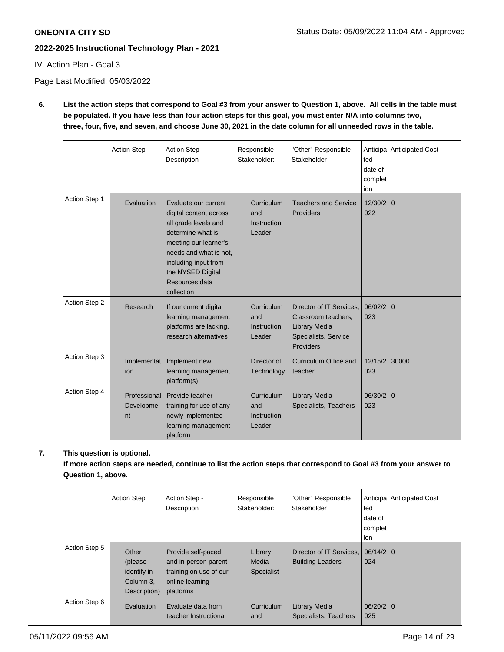IV. Action Plan - Goal 3

Page Last Modified: 05/03/2022

**6. List the action steps that correspond to Goal #3 from your answer to Question 1, above. All cells in the table must be populated. If you have less than four action steps for this goal, you must enter N/A into columns two, three, four, five, and seven, and choose June 30, 2021 in the date column for all unneeded rows in the table.** 

|               | <b>Action Step</b>              | Action Step -<br>Description                                                                                                                                                                                                | Responsible<br>Stakeholder:                | "Other" Responsible<br>Stakeholder                                                                    | ted<br>date of<br>complet<br>ion | Anticipa Anticipated Cost |
|---------------|---------------------------------|-----------------------------------------------------------------------------------------------------------------------------------------------------------------------------------------------------------------------------|--------------------------------------------|-------------------------------------------------------------------------------------------------------|----------------------------------|---------------------------|
| Action Step 1 | Evaluation                      | Evaluate our current<br>digital content across<br>all grade levels and<br>determine what is<br>meeting our learner's<br>needs and what is not,<br>including input from<br>the NYSED Digital<br>Resources data<br>collection | Curriculum<br>and<br>Instruction<br>Leader | <b>Teachers and Service</b><br>Providers                                                              | 12/30/2<br>022                   | $\mathbf{0}$              |
| Action Step 2 | Research                        | If our current digital<br>learning management<br>platforms are lacking,<br>research alternatives                                                                                                                            | Curriculum<br>and<br>Instruction<br>Leader | Director of IT Services.<br>Classroom teachers,<br>Library Media<br>Specialists, Service<br>Providers | 06/02/2<br>023                   | $\mathbf{0}$              |
| Action Step 3 | Implementat<br>ion              | Implement new<br>learning management<br>platform(s)                                                                                                                                                                         | Director of<br>Technology                  | Curriculum Office and<br>teacher                                                                      | 12/15/2<br>023                   | 30000                     |
| Action Step 4 | Professional<br>Developme<br>nt | Provide teacher<br>training for use of any<br>newly implemented<br>learning management<br>platform                                                                                                                          | Curriculum<br>and<br>Instruction<br>Leader | Library Media<br>Specialists, Teachers                                                                | 06/30/2<br>023                   | $\mathbf{0}$              |

## **7. This question is optional.**

**If more action steps are needed, continue to list the action steps that correspond to Goal #3 from your answer to Question 1, above.**

|               | <b>Action Step</b>                                           | Action Step -<br>Description                                                                         | Responsible<br>Stakeholder:           | "Other" Responsible<br>Stakeholder                  | ted<br>date of<br>complet<br>ion | Anticipa   Anticipated Cost |
|---------------|--------------------------------------------------------------|------------------------------------------------------------------------------------------------------|---------------------------------------|-----------------------------------------------------|----------------------------------|-----------------------------|
| Action Step 5 | Other<br>(please<br>identify in<br>Column 3,<br>Description) | Provide self-paced<br>and in-person parent<br>training on use of our<br>online learning<br>platforms | Library<br>Media<br><b>Specialist</b> | Director of IT Services,<br><b>Building Leaders</b> | $06/14/2$ 0<br>024               |                             |
| Action Step 6 | Evaluation                                                   | Evaluate data from<br>teacher Instructional                                                          | Curriculum<br>and                     | Library Media<br>Specialists, Teachers              | $06/20/2$ 0<br>025               |                             |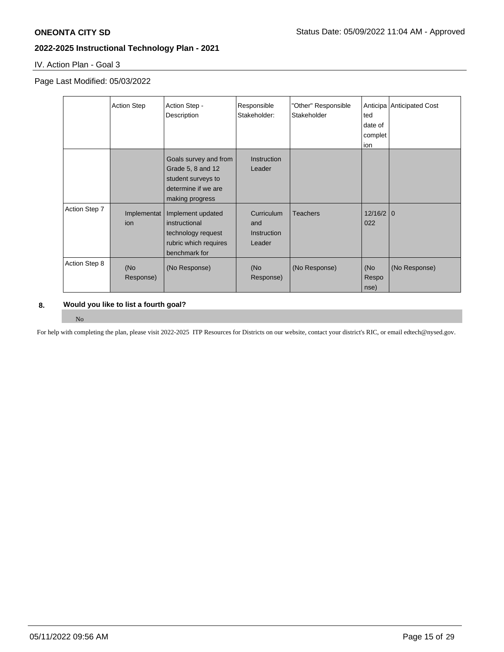IV. Action Plan - Goal 3

### Page Last Modified: 05/03/2022

|               | <b>Action Step</b> | Action Step -<br>Description                                                                               | Responsible<br>Stakeholder:                       | "Other" Responsible<br>Stakeholder | ted<br>date of<br>complet<br>ion | Anticipa Anticipated Cost |
|---------------|--------------------|------------------------------------------------------------------------------------------------------------|---------------------------------------------------|------------------------------------|----------------------------------|---------------------------|
|               |                    | Goals survey and from<br>Grade 5, 8 and 12<br>student surveys to<br>determine if we are<br>making progress | <b>Instruction</b><br>Leader                      |                                    |                                  |                           |
| Action Step 7 | Implementat<br>ion | Implement updated<br>instructional<br>technology request<br>rubric which requires<br>benchmark for         | Curriculum<br>and<br><b>Instruction</b><br>Leader | <b>Teachers</b>                    | $12/16/2$ 0<br>022               |                           |
| Action Step 8 | (No<br>Response)   | (No Response)                                                                                              | (No<br>Response)                                  | (No Response)                      | (No<br>Respo<br>nse)             | (No Response)             |

### **8. Would you like to list a fourth goal?**

#### No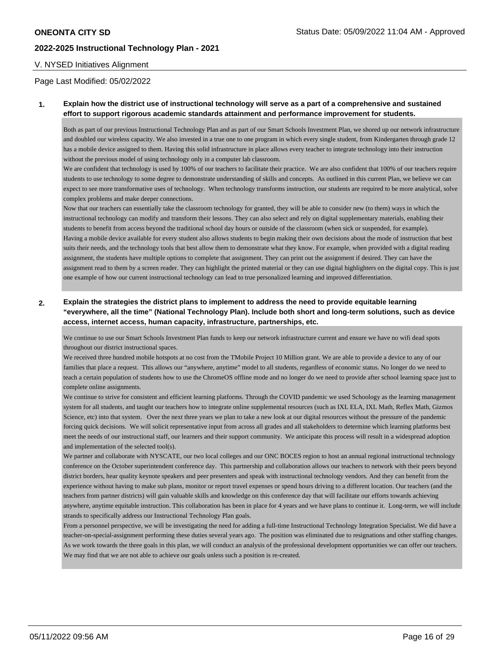#### V. NYSED Initiatives Alignment

Page Last Modified: 05/02/2022

#### **1. Explain how the district use of instructional technology will serve as a part of a comprehensive and sustained effort to support rigorous academic standards attainment and performance improvement for students.**

Both as part of our previous Instructional Technology Plan and as part of our Smart Schools Investment Plan, we shored up our network infrastructure and doubled our wireless capacity. We also invested in a true one to one program in which every single student, from Kindergarten through grade 12 has a mobile device assigned to them. Having this solid infrastructure in place allows every teacher to integrate technology into their instruction without the previous model of using technology only in a computer lab classroom.

We are confident that technology is used by 100% of our teachers to facilitate their practice. We are also confident that 100% of our teachers require students to use technology to some degree to demonstrate understanding of skills and concepts. As outlined in this current Plan, we believe we can expect to see more transformative uses of technology. When technology transforms instruction, our students are required to be more analytical, solve complex problems and make deeper connections.

Now that our teachers can essentially take the classroom technology for granted, they will be able to consider new (to them) ways in which the instructional technology can modify and transform their lessons. They can also select and rely on digital supplementary materials, enabling their students to benefit from access beyond the traditional school day hours or outside of the classroom (when sick or suspended, for example). Having a mobile device available for every student also allows students to begin making their own decisions about the mode of instruction that best suits their needs, and the technology tools that best allow them to demonstrate what they know. For example, when provided with a digital reading assignment, the students have multiple options to complete that assignment. They can print out the assignment if desired. They can have the assignment read to them by a screen reader. They can highlight the printed material or they can use digital highlighters on the digital copy. This is just one example of how our current instructional technology can lead to true personalized learning and improved differentiation.

### **2. Explain the strategies the district plans to implement to address the need to provide equitable learning "everywhere, all the time" (National Technology Plan). Include both short and long-term solutions, such as device access, internet access, human capacity, infrastructure, partnerships, etc.**

We continue to use our Smart Schools Investment Plan funds to keep our network infrastructure current and ensure we have no wifi dead spots throughout our district instructional spaces.

We received three hundred mobile hotspots at no cost from the TMobile Project 10 Million grant. We are able to provide a device to any of our families that place a request. This allows our "anywhere, anytime" model to all students, regardless of economic status. No longer do we need to teach a certain population of students how to use the ChromeOS offline mode and no longer do we need to provide after school learning space just to complete online assignments.

We continue to strive for consistent and efficient learning platforms. Through the COVID pandemic we used Schoology as the learning management system for all students, and taught our teachers how to integrate online supplemental resources (such as IXL ELA, IXL Math, Reflex Math, Gizmos Science, etc) into that system. Over the next three years we plan to take a new look at our digital resources without the pressure of the pandemic forcing quick decisions. We will solicit representative input from across all grades and all stakeholders to determine which learning platforms best meet the needs of our instructional staff, our learners and their support community. We anticipate this process will result in a widespread adoption and implementation of the selected tool(s).

We partner and collaborate with NYSCATE, our two local colleges and our ONC BOCES region to host an annual regional instructional technology conference on the October superintendent conference day. This partnership and collaboration allows our teachers to network with their peers beyond district borders, hear quality keynote speakers and peer presenters and speak with instructional technology vendors. And they can benefit from the experience without having to make sub plans, monitor or report travel expenses or spend hours driving to a different location. Our teachers (and the teachers from partner districts) will gain valuable skills and knowledge on this conference day that will facilitate our efforts towards achieving anywhere, anytime equitable instruction. This collaboration has been in place for 4 years and we have plans to continue it. Long-term, we will include strands to specifically address our Instructional Technology Plan goals.

From a personnel perspective, we will be investigating the need for adding a full-time Instructional Technology Integration Specialist. We did have a teacher-on-special-assignment performing these duties several years ago. The position was eliminated due to resignations and other staffing changes. As we work towards the three goals in this plan, we will conduct an analysis of the professional development opportunities we can offer our teachers. We may find that we are not able to achieve our goals unless such a position is re-created.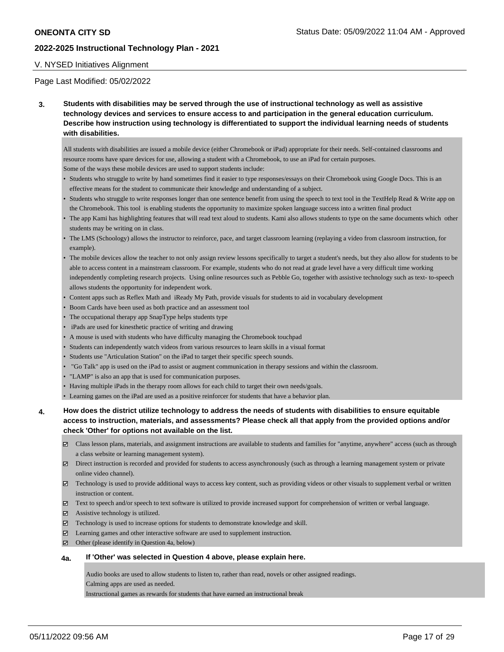### V. NYSED Initiatives Alignment

#### Page Last Modified: 05/02/2022

**3. Students with disabilities may be served through the use of instructional technology as well as assistive technology devices and services to ensure access to and participation in the general education curriculum. Describe how instruction using technology is differentiated to support the individual learning needs of students with disabilities.** 

All students with disabilities are issued a mobile device (either Chromebook or iPad) appropriate for their needs. Self-contained classrooms and resource rooms have spare devices for use, allowing a student with a Chromebook, to use an iPad for certain purposes. Some of the ways these mobile devices are used to support students include:

- Students who struggle to write by hand sometimes find it easier to type responses/essays on their Chromebook using Google Docs. This is an effective means for the student to communicate their knowledge and understanding of a subject.
- Students who struggle to write responses longer than one sentence benefit from using the speech to text tool in the TextHelp Read & Write app on the Chromebook. This tool is enabling students the opportunity to maximize spoken language success into a written final product
- The app Kami has highlighting features that will read text aloud to students. Kami also allows students to type on the same documents which other students may be writing on in class.
- The LMS (Schoology) allows the instructor to reinforce, pace, and target classroom learning (replaying a video from classroom instruction, for example).
- The mobile devices allow the teacher to not only assign review lessons specifically to target a student's needs, but they also allow for students to be able to access content in a mainstream classroom. For example, students who do not read at grade level have a very difficult time working independently completing research projects. Using online resources such as Pebble Go, together with assistive technology such as text- to-speech allows students the opportunity for independent work.
- Content apps such as Reflex Math and iReady My Path, provide visuals for students to aid in vocabulary development
- Boom Cards have been used as both practice and an assessment tool
- The occupational therapy app SnapType helps students type
- iPads are used for kinesthetic practice of writing and drawing
- A mouse is used with students who have difficulty managing the Chromebook touchpad
- Students can independently watch videos from various resources to learn skills in a visual format
- Students use "Articulation Station" on the iPad to target their specific speech sounds.
- "Go Talk" app is used on the iPad to assist or augment communication in therapy sessions and within the classroom.
- "LAMP" is also an app that is used for communication purposes.
- Having multiple iPads in the therapy room allows for each child to target their own needs/goals.
- Learning games on the iPad are used as a positive reinforcer for students that have a behavior plan.
- **4. How does the district utilize technology to address the needs of students with disabilities to ensure equitable access to instruction, materials, and assessments? Please check all that apply from the provided options and/or check 'Other' for options not available on the list.** 
	- Class lesson plans, materials, and assignment instructions are available to students and families for "anytime, anywhere" access (such as through a class website or learning management system).
	- Direct instruction is recorded and provided for students to access asynchronously (such as through a learning management system or private online video channel).
	- Technology is used to provide additional ways to access key content, such as providing videos or other visuals to supplement verbal or written instruction or content.
	- Text to speech and/or speech to text software is utilized to provide increased support for comprehension of written or verbal language.
	- Assistive technology is utilized.
	- $\boxtimes$  Technology is used to increase options for students to demonstrate knowledge and skill.
	- $\boxtimes$  Learning games and other interactive software are used to supplement instruction.
	- $\boxtimes$  Other (please identify in Question 4a, below)

#### **4a. If 'Other' was selected in Question 4 above, please explain here.**

Audio books are used to allow students to listen to, rather than read, novels or other assigned readings.

Calming apps are used as needed.

Instructional games as rewards for students that have earned an instructional break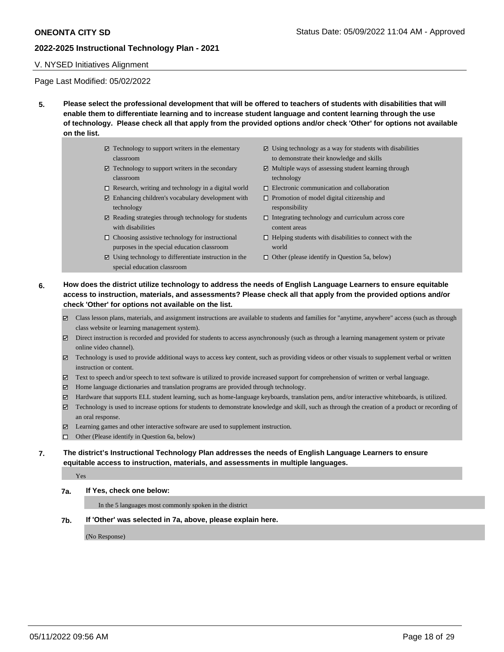### V. NYSED Initiatives Alignment

Page Last Modified: 05/02/2022

- **5. Please select the professional development that will be offered to teachers of students with disabilities that will enable them to differentiate learning and to increase student language and content learning through the use of technology. Please check all that apply from the provided options and/or check 'Other' for options not available on the list.** 
	- $\boxtimes$  Technology to support writers in the elementary classroom
	- $\boxtimes$  Technology to support writers in the secondary classroom
	- $\Box$  Research, writing and technology in a digital world
	- $\boxtimes$  Enhancing children's vocabulary development with technology
	- $\boxtimes$  Reading strategies through technology for students with disabilities
	- $\Box$  Choosing assistive technology for instructional purposes in the special education classroom
	- $\boxtimes$  Using technology to differentiate instruction in the special education classroom
- $\Xi$  Using technology as a way for students with disabilities to demonstrate their knowledge and skills
- $\Xi$  Multiple ways of assessing student learning through technology
- Electronic communication and collaboration
- $\Box$  Promotion of model digital citizenship and responsibility
- $\Box$  Integrating technology and curriculum across core content areas
- $\Box$  Helping students with disabilities to connect with the world
- $\Box$  Other (please identify in Question 5a, below)
- **6. How does the district utilize technology to address the needs of English Language Learners to ensure equitable access to instruction, materials, and assessments? Please check all that apply from the provided options and/or check 'Other' for options not available on the list.** 
	- Class lesson plans, materials, and assignment instructions are available to students and families for "anytime, anywhere" access (such as through class website or learning management system).
	- Direct instruction is recorded and provided for students to access asynchronously (such as through a learning management system or private online video channel).
	- Technology is used to provide additional ways to access key content, such as providing videos or other visuals to supplement verbal or written instruction or content.
	- Text to speech and/or speech to text software is utilized to provide increased support for comprehension of written or verbal language.
	- Home language dictionaries and translation programs are provided through technology.
	- Hardware that supports ELL student learning, such as home-language keyboards, translation pens, and/or interactive whiteboards, is utilized.
	- Technology is used to increase options for students to demonstrate knowledge and skill, such as through the creation of a product or recording of an oral response.
	- Learning games and other interactive software are used to supplement instruction.
	- □ Other (Please identify in Question 6a, below)
- **7. The district's Instructional Technology Plan addresses the needs of English Language Learners to ensure equitable access to instruction, materials, and assessments in multiple languages.**

Yes

#### **7a. If Yes, check one below:**

In the 5 languages most commonly spoken in the district

**7b. If 'Other' was selected in 7a, above, please explain here.**

(No Response)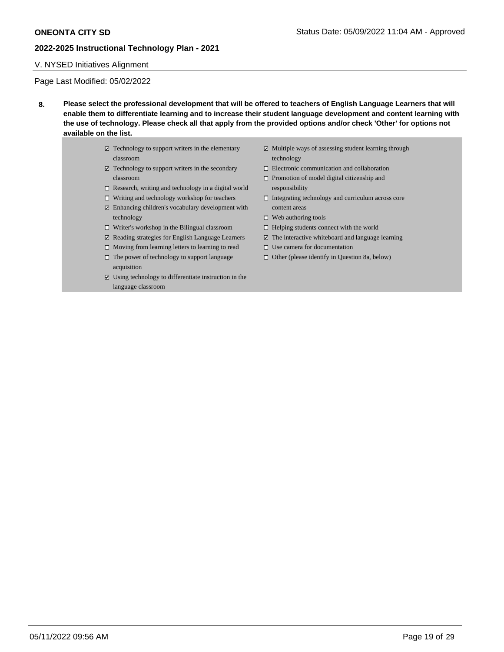### V. NYSED Initiatives Alignment

Page Last Modified: 05/02/2022

- **8. Please select the professional development that will be offered to teachers of English Language Learners that will enable them to differentiate learning and to increase their student language development and content learning with the use of technology. Please check all that apply from the provided options and/or check 'Other' for options not available on the list.** 
	- $\boxtimes$  Technology to support writers in the elementary classroom
	- $\boxtimes$  Technology to support writers in the secondary classroom
	- $\square$  Research, writing and technology in a digital world
	- $\Box$  Writing and technology workshop for teachers
	- Enhancing children's vocabulary development with technology
	- Writer's workshop in the Bilingual classroom
	- $\boxtimes$  Reading strategies for English Language Learners
	- $\Box$  Moving from learning letters to learning to read  $\hfill\Box$  <br> The power of technology to support language acquisition
	- $\boxtimes$  Using technology to differentiate instruction in the language classroom
- $\boxtimes$  Multiple ways of assessing student learning through technology
- $\square$  Electronic communication and collaboration
- $\Box$  Promotion of model digital citizenship and responsibility
- $\Box$  Integrating technology and curriculum across core content areas
- $\Box$  Web authoring tools
- $\Box$  Helping students connect with the world
- $\Xi$  The interactive whiteboard and language learning
- $\square$  Use camera for documentation
- $\Box$  Other (please identify in Question 8a, below)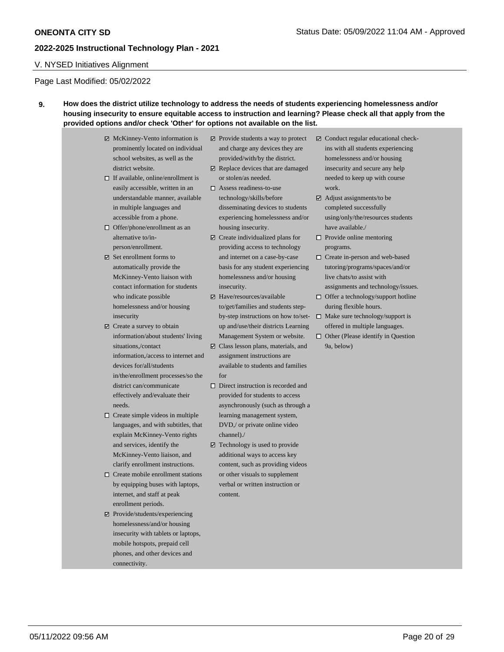### V. NYSED Initiatives Alignment

### Page Last Modified: 05/02/2022

### **9. How does the district utilize technology to address the needs of students experiencing homelessness and/or housing insecurity to ensure equitable access to instruction and learning? Please check all that apply from the provided options and/or check 'Other' for options not available on the list.**

- $\boxtimes$  McKinney-Vento information is prominently located on individual school websites, as well as the district website.  $\Box$  If available, online/enrollment is easily accessible, written in an understandable manner, available in multiple languages and accessible from a phone. □ Offer/phone/enrollment as an alternative to/inperson/enrollment.  $\boxtimes$  Set enrollment forms to automatically provide the McKinney-Vento liaison with contact information for students who indicate possible homelessness and/or housing insecurity Create a survey to obtain information/about students' living situations,/contact information,/access to internet and devices for/all/students in/the/enrollment processes/so the district can/communicate effectively and/evaluate their needs.  $\Box$  Create simple videos in multiple
- languages, and with subtitles, that explain McKinney-Vento rights and services, identify the McKinney-Vento liaison, and clarify enrollment instructions.
- $\Box$  Create mobile enrollment stations by equipping buses with laptops, internet, and staff at peak enrollment periods.
- Provide/students/experiencing homelessness/and/or housing insecurity with tablets or laptops, mobile hotspots, prepaid cell phones, and other devices and connectivity.
- $\Box$  Provide students a way to protect and charge any devices they are provided/with/by the district.
- $□$  Replace devices that are damaged or stolen/as needed.
- Assess readiness-to-use technology/skills/before disseminating devices to students experiencing homelessness and/or housing insecurity.
- $\Box$  Create individualized plans for providing access to technology and internet on a case-by-case basis for any student experiencing homelessness and/or housing insecurity.
- $\boxtimes$  Have/resources/available to/get/families and students stepby-step instructions on how to/setup and/use/their districts Learning Management System or website.
- Class lesson plans, materials, and assignment instructions are available to students and families for
- $\Box$  Direct instruction is recorded and provided for students to access asynchronously (such as through a learning management system, DVD,/ or private online video channel)./
- $\boxtimes$  Technology is used to provide additional ways to access key content, such as providing videos or other visuals to supplement verbal or written instruction or content.
- $\boxtimes$  Conduct regular educational checkins with all students experiencing homelessness and/or housing insecurity and secure any help needed to keep up with course work.
- $\boxtimes$  Adjust assignments/to be completed successfully using/only/the/resources students have available./
- $\Box$  Provide online mentoring programs.
- □ Create in-person and web-based tutoring/programs/spaces/and/or live chats/to assist with assignments and technology/issues.
- $\Box$  Offer a technology/support hotline during flexible hours.
- $\square$  Make sure technology/support is offered in multiple languages.
- $\Box$  Other (Please identify in Question 9a, below)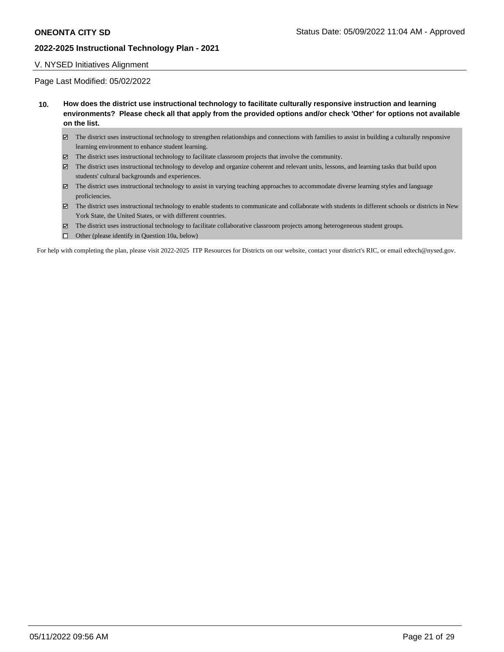#### V. NYSED Initiatives Alignment

#### Page Last Modified: 05/02/2022

- **10. How does the district use instructional technology to facilitate culturally responsive instruction and learning environments? Please check all that apply from the provided options and/or check 'Other' for options not available on the list.**
	- $\boxtimes$  The district uses instructional technology to strengthen relationships and connections with families to assist in building a culturally responsive learning environment to enhance student learning.
	- $\boxtimes$  The district uses instructional technology to facilitate classroom projects that involve the community.
	- The district uses instructional technology to develop and organize coherent and relevant units, lessons, and learning tasks that build upon students' cultural backgrounds and experiences.
	- The district uses instructional technology to assist in varying teaching approaches to accommodate diverse learning styles and language proficiencies.
	- The district uses instructional technology to enable students to communicate and collaborate with students in different schools or districts in New York State, the United States, or with different countries.
	- The district uses instructional technology to facilitate collaborative classroom projects among heterogeneous student groups.
	- $\Box$  Other (please identify in Question 10a, below)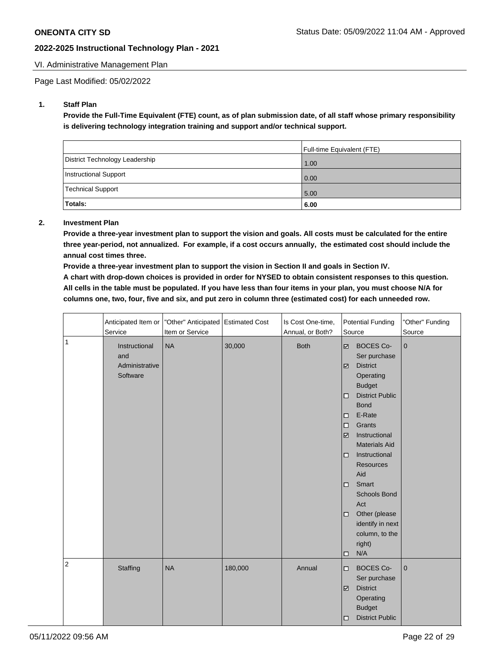### VI. Administrative Management Plan

Page Last Modified: 05/02/2022

### **1. Staff Plan**

**Provide the Full-Time Equivalent (FTE) count, as of plan submission date, of all staff whose primary responsibility is delivering technology integration training and support and/or technical support.**

|                                | <b>Full-time Equivalent (FTE)</b> |
|--------------------------------|-----------------------------------|
| District Technology Leadership | 1.00                              |
| Instructional Support          | 0.00                              |
| Technical Support              | 5.00                              |
| Totals:                        | 6.00                              |

#### **2. Investment Plan**

**Provide a three-year investment plan to support the vision and goals. All costs must be calculated for the entire three year-period, not annualized. For example, if a cost occurs annually, the estimated cost should include the annual cost times three.**

**Provide a three-year investment plan to support the vision in Section II and goals in Section IV.** 

**A chart with drop-down choices is provided in order for NYSED to obtain consistent responses to this question. All cells in the table must be populated. If you have less than four items in your plan, you must choose N/A for columns one, two, four, five and six, and put zero in column three (estimated cost) for each unneeded row.** 

|                | Anticipated Item or<br>Service                     | "Other" Anticipated Estimated Cost<br>Item or Service |         | Is Cost One-time,<br>Annual, or Both? | <b>Potential Funding</b><br>Source                                                                                                                                                                                                                                                                                                                                                                                                                                               | "Other" Funding<br>Source |
|----------------|----------------------------------------------------|-------------------------------------------------------|---------|---------------------------------------|----------------------------------------------------------------------------------------------------------------------------------------------------------------------------------------------------------------------------------------------------------------------------------------------------------------------------------------------------------------------------------------------------------------------------------------------------------------------------------|---------------------------|
| $\mathbf{1}$   | Instructional<br>and<br>Administrative<br>Software | <b>NA</b>                                             | 30,000  | <b>Both</b>                           | <b>BOCES Co-</b><br>$\overline{\mathcal{L}}$<br>Ser purchase<br><b>District</b><br>$\overline{\mathcal{L}}$<br>Operating<br><b>Budget</b><br><b>District Public</b><br>$\Box$<br><b>Bond</b><br>E-Rate<br>$\Box$<br>Grants<br>$\Box$<br>Instructional<br>☑<br><b>Materials Aid</b><br>Instructional<br>$\Box$<br><b>Resources</b><br>Aid<br>Smart<br>$\Box$<br><b>Schools Bond</b><br>Act<br>Other (please<br>$\Box$<br>identify in next<br>column, to the<br>right)<br>N/A<br>□ | $\mathbf{0}$              |
| $\overline{c}$ | Staffing                                           | <b>NA</b>                                             | 180,000 | Annual                                | <b>BOCES Co-</b><br>$\Box$<br>Ser purchase<br><b>District</b><br>$\overline{\mathbf{v}}$<br>Operating<br><b>Budget</b><br><b>District Public</b><br>□                                                                                                                                                                                                                                                                                                                            | $\mathbf 0$               |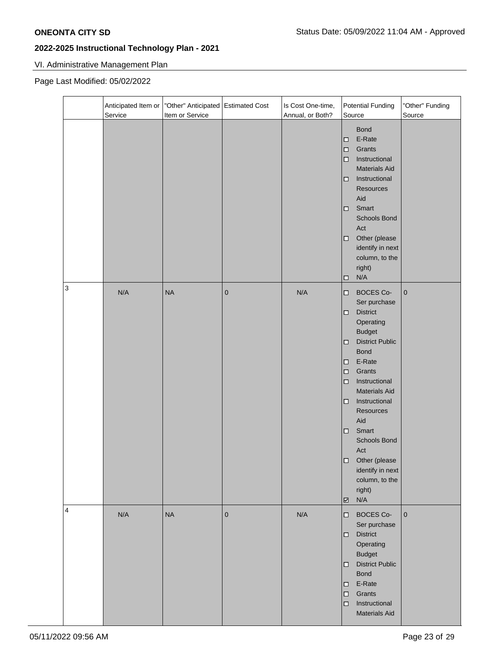# VI. Administrative Management Plan

### Page Last Modified: 05/02/2022

|                           | Anticipated Item or<br>Service | "Other" Anticipated Estimated Cost<br>Item or Service |           | Is Cost One-time,<br>Annual, or Both? | <b>Potential Funding</b><br>Source                                                                                                                                                                                                                                                                                                                                                                                        | "Other" Funding<br>Source |
|---------------------------|--------------------------------|-------------------------------------------------------|-----------|---------------------------------------|---------------------------------------------------------------------------------------------------------------------------------------------------------------------------------------------------------------------------------------------------------------------------------------------------------------------------------------------------------------------------------------------------------------------------|---------------------------|
|                           |                                |                                                       |           |                                       | <b>Bond</b><br>E-Rate<br>□<br>Grants<br>□<br>Instructional<br>□<br><b>Materials Aid</b><br>Instructional<br>□<br>Resources<br>Aid<br>Smart<br>□<br>Schools Bond<br>Act<br>Other (please<br>□<br>identify in next<br>column, to the<br>right)<br>N/A<br>□                                                                                                                                                                  |                           |
| $\ensuremath{\mathsf{3}}$ | N/A                            | <b>NA</b>                                             | $\pmb{0}$ | N/A                                   | <b>BOCES Co-</b><br>□<br>Ser purchase<br><b>District</b><br>□<br>Operating<br><b>Budget</b><br><b>District Public</b><br>□<br><b>Bond</b><br>E-Rate<br>□<br>Grants<br>$\Box$<br>Instructional<br>□<br><b>Materials Aid</b><br>Instructional<br>□<br>Resources<br>Aid<br>Smart<br>□<br>Schools Bond<br>Act<br>Other (please<br>□<br>identify in next<br>column, to the<br>right)<br>N/A<br>$\overline{\underline{\smile}}$ | $\pmb{0}$                 |
| $\overline{4}$            | N/A                            | <b>NA</b>                                             | $\pmb{0}$ | N/A                                   | <b>BOCES Co-</b><br>$\Box$<br>Ser purchase<br><b>District</b><br>$\Box$<br>Operating<br><b>Budget</b><br><b>District Public</b><br>$\Box$<br><b>Bond</b><br>E-Rate<br>□<br>Grants<br>$\Box$<br>Instructional<br>$\Box$<br><b>Materials Aid</b>                                                                                                                                                                            | $\mathbf 0$               |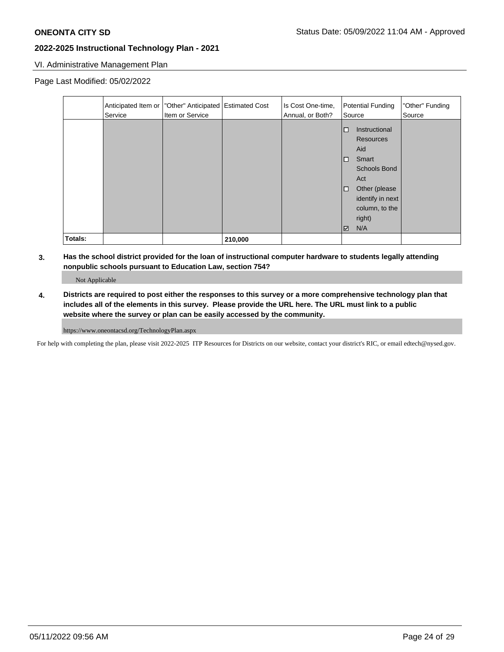### VI. Administrative Management Plan

Page Last Modified: 05/02/2022

|         | Service | Anticipated Item or   "Other" Anticipated   Estimated Cost<br>Item or Service |         | Is Cost One-time,<br>Annual, or Both? | Potential Funding<br>Source                                                                                                                                                           | "Other" Funding<br>Source |
|---------|---------|-------------------------------------------------------------------------------|---------|---------------------------------------|---------------------------------------------------------------------------------------------------------------------------------------------------------------------------------------|---------------------------|
|         |         |                                                                               |         |                                       | Instructional<br>$\Box$<br><b>Resources</b><br>Aid<br>Smart<br>□<br><b>Schools Bond</b><br>Act<br>Other (please<br>$\Box$<br>identify in next<br>column, to the<br>right)<br>N/A<br>☑ |                           |
| Totals: |         |                                                                               | 210,000 |                                       |                                                                                                                                                                                       |                           |

**3. Has the school district provided for the loan of instructional computer hardware to students legally attending nonpublic schools pursuant to Education Law, section 754?** 

Not Applicable

**4. Districts are required to post either the responses to this survey or a more comprehensive technology plan that includes all of the elements in this survey. Please provide the URL here. The URL must link to a public website where the survey or plan can be easily accessed by the community.**

https://www.oneontacsd.org/TechnologyPlan.aspx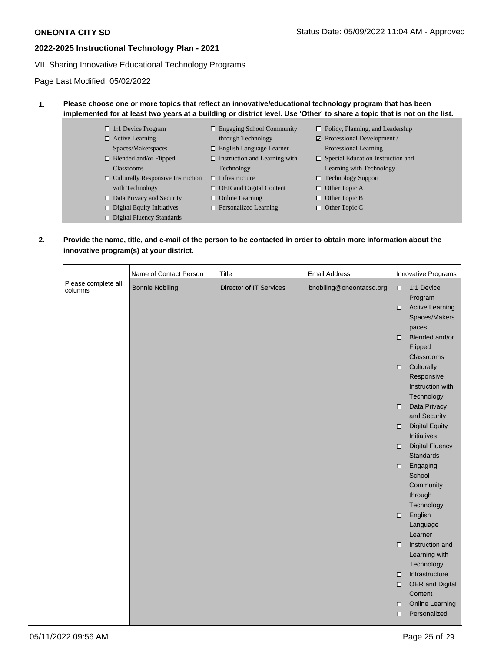### VII. Sharing Innovative Educational Technology Programs

Page Last Modified: 05/02/2022

### **1. Please choose one or more topics that reflect an innovative/educational technology program that has been implemented for at least two years at a building or district level. Use 'Other' to share a topic that is not on the list.**

- □ 1:1 Device Program Active Learning
- Spaces/Makerspaces
- □ Blended and/or Flipped Classrooms
- Culturally Responsive Instruction  $\Box$  Infrastructure with Technology
- $\Box$  Data Privacy and Security
- $\hfill\Box$  Digital Equity Initiatives
- □ Digital Fluency Standards
- Engaging School Community through Technology
- English Language Learner
- $\Box$  Instruction and Learning with Technology
	-
- □ OER and Digital Content
- $\Box$  Online Learning
- □ Personalized Learning
- □ Policy, Planning, and Leadership
- Professional Development / Professional Learning
- □ Special Education Instruction and Learning with Technology
- □ Technology Support
- □ Other Topic A
- □ Other Topic B
- □ Other Topic C
- 

### **2. Provide the name, title, and e-mail of the person to be contacted in order to obtain more information about the innovative program(s) at your district.**

|                                | Name of Contact Person | Title                   | <b>Email Address</b>     |                  | Innovative Programs                                              |  |
|--------------------------------|------------------------|-------------------------|--------------------------|------------------|------------------------------------------------------------------|--|
| Please complete all<br>columns | <b>Bonnie Nobiling</b> | Director of IT Services | bnobiling@oneontacsd.org | $\Box$<br>$\Box$ | 1:1 Device<br>Program<br><b>Active Learning</b><br>Spaces/Makers |  |
|                                |                        |                         |                          | □                | paces<br>Blended and/or<br>Flipped<br>Classrooms                 |  |
|                                |                        |                         |                          | $\Box$           | Culturally<br>Responsive<br>Instruction with<br>Technology       |  |
|                                |                        |                         |                          | $\Box$           | Data Privacy<br>and Security                                     |  |
|                                |                        |                         |                          | $\Box$           | <b>Digital Equity</b><br>Initiatives                             |  |
|                                |                        |                         |                          | $\Box$           | <b>Digital Fluency</b><br><b>Standards</b>                       |  |
|                                |                        |                         |                          | $\Box$           | Engaging<br>School<br>Community<br>through<br>Technology         |  |
|                                |                        |                         |                          | o                | English<br>Language<br>Learner                                   |  |
|                                |                        |                         |                          | □                | Instruction and<br>Learning with<br>Technology                   |  |
|                                |                        |                         |                          | $\Box$<br>$\Box$ | Infrastructure<br>OER and Digital<br>Content                     |  |
|                                |                        |                         |                          | □<br>$\Box$      | <b>Online Learning</b><br>Personalized                           |  |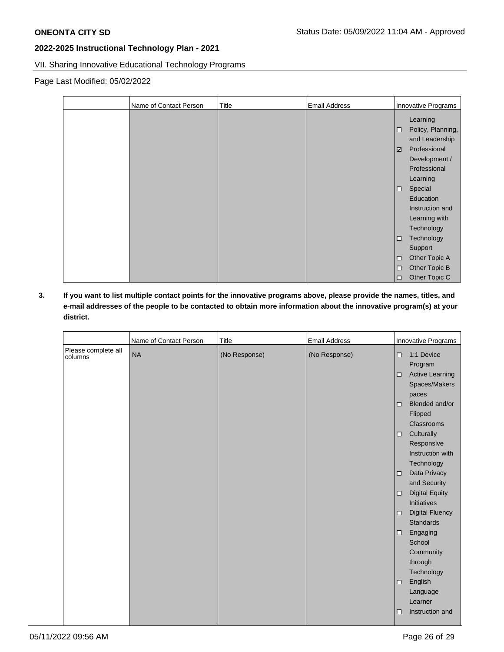VII. Sharing Innovative Educational Technology Programs

Page Last Modified: 05/02/2022

| Name of Contact Person | Title | <b>Email Address</b> | Innovative Programs                                                                                        |
|------------------------|-------|----------------------|------------------------------------------------------------------------------------------------------------|
|                        |       |                      | Learning<br>Policy, Planning,<br>□<br>and Leadership<br>Professional<br>☑<br>Development /<br>Professional |
|                        |       |                      | Learning<br>Special<br>□<br>Education<br>Instruction and<br>Learning with                                  |
|                        |       |                      | Technology<br>Technology<br>$\Box$<br>Support<br>Other Topic A<br>$\Box$                                   |
|                        |       |                      | Other Topic B<br>$\Box$<br>Other Topic C<br>$\Box$                                                         |

**3. If you want to list multiple contact points for the innovative programs above, please provide the names, titles, and e-mail addresses of the people to be contacted to obtain more information about the innovative program(s) at your district.**

|                                | Name of Contact Person | <b>Title</b>  | <b>Email Address</b> |        | Innovative Programs                                      |
|--------------------------------|------------------------|---------------|----------------------|--------|----------------------------------------------------------|
| Please complete all<br>columns | <b>NA</b>              | (No Response) | (No Response)        | □<br>□ | 1:1 Device<br>Program<br><b>Active Learning</b>          |
|                                |                        |               |                      |        | Spaces/Makers<br>paces                                   |
|                                |                        |               |                      | $\Box$ | Blended and/or<br>Flipped                                |
|                                |                        |               |                      | $\Box$ | Classrooms<br>Culturally<br>Responsive                   |
|                                |                        |               |                      |        | Instruction with<br>Technology                           |
|                                |                        |               |                      | □      | Data Privacy<br>and Security                             |
|                                |                        |               |                      | □      | <b>Digital Equity</b><br>Initiatives                     |
|                                |                        |               |                      | ◻      | <b>Digital Fluency</b><br><b>Standards</b>               |
|                                |                        |               |                      | $\Box$ | Engaging<br>School<br>Community<br>through<br>Technology |
|                                |                        |               |                      | $\Box$ | English<br>Language<br>Learner                           |
|                                |                        |               |                      | □      | Instruction and                                          |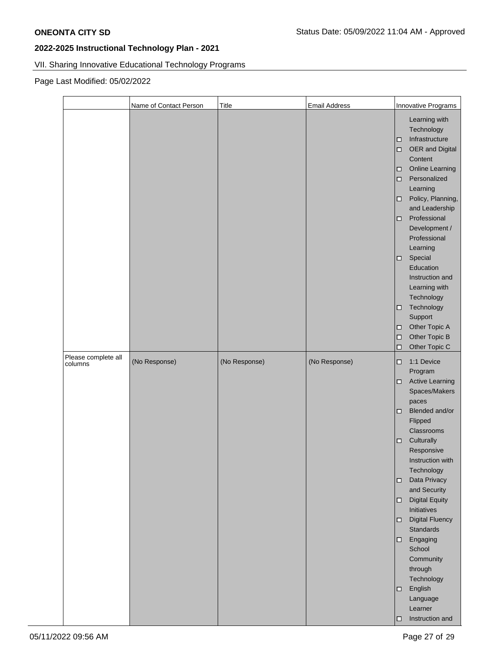# VII. Sharing Innovative Educational Technology Programs

Page Last Modified: 05/02/2022

|                                | Name of Contact Person | Title         | <b>Email Address</b> | Innovative Programs                                                                                                                                                                                                                                                                                                                                                                                                                                                                                                    |
|--------------------------------|------------------------|---------------|----------------------|------------------------------------------------------------------------------------------------------------------------------------------------------------------------------------------------------------------------------------------------------------------------------------------------------------------------------------------------------------------------------------------------------------------------------------------------------------------------------------------------------------------------|
|                                |                        |               |                      | Learning with<br>Technology<br>Infrastructure<br>$\Box$<br>OER and Digital<br>$\Box$<br>Content<br><b>Online Learning</b><br>$\Box$<br>Personalized<br>$\Box$<br>Learning<br>Policy, Planning,<br>$\Box$<br>and Leadership<br>Professional<br>$\Box$<br>Development /<br>Professional<br>Learning<br>Special<br>$\Box$<br>Education<br>Instruction and<br>Learning with<br>Technology<br>Technology<br>$\Box$<br>Support<br>Other Topic A<br>□<br>Other Topic B<br>$\Box$<br>Other Topic C<br>□                        |
| Please complete all<br>columns | (No Response)          | (No Response) | (No Response)        | 1:1 Device<br>$\Box$<br>Program<br><b>Active Learning</b><br>$\Box$<br>Spaces/Makers<br>paces<br>Blended and/or<br>$\Box$<br>Flipped<br>Classrooms<br>Culturally<br>$\Box$<br>Responsive<br>Instruction with<br>Technology<br>Data Privacy<br>$\Box$<br>and Security<br><b>Digital Equity</b><br>$\Box$<br>Initiatives<br><b>Digital Fluency</b><br>$\Box$<br>Standards<br>Engaging<br>$\Box$<br>School<br>Community<br>through<br>Technology<br>English<br>$\Box$<br>Language<br>Learner<br>Instruction and<br>$\Box$ |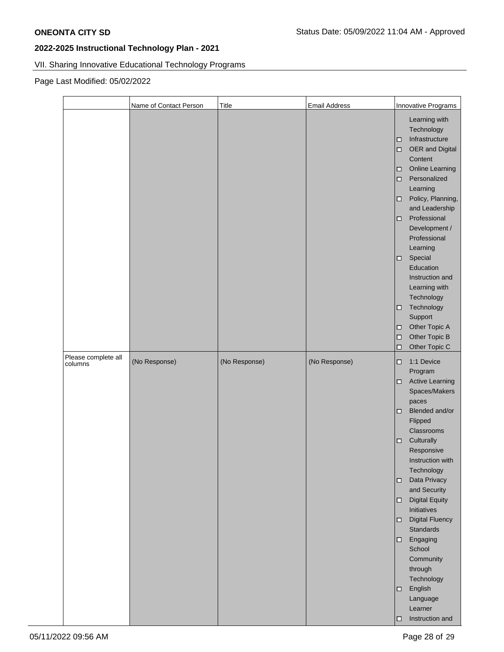# VII. Sharing Innovative Educational Technology Programs

Page Last Modified: 05/02/2022

|                                | Name of Contact Person | Title         | <b>Email Address</b> | Innovative Programs                                                                                                                                                                                                                                                                                                                                                                                                                                                                                                    |
|--------------------------------|------------------------|---------------|----------------------|------------------------------------------------------------------------------------------------------------------------------------------------------------------------------------------------------------------------------------------------------------------------------------------------------------------------------------------------------------------------------------------------------------------------------------------------------------------------------------------------------------------------|
|                                |                        |               |                      | Learning with<br>Technology<br>Infrastructure<br>$\Box$<br>OER and Digital<br>$\Box$<br>Content<br><b>Online Learning</b><br>$\Box$<br>Personalized<br>$\Box$<br>Learning<br>Policy, Planning,<br>$\Box$<br>and Leadership<br>Professional<br>$\Box$<br>Development /<br>Professional<br>Learning<br>Special<br>$\Box$<br>Education<br>Instruction and<br>Learning with<br>Technology<br>Technology<br>$\Box$<br>Support<br>Other Topic A<br>□<br>Other Topic B<br>$\Box$<br>Other Topic C<br>□                        |
| Please complete all<br>columns | (No Response)          | (No Response) | (No Response)        | 1:1 Device<br>$\Box$<br>Program<br><b>Active Learning</b><br>$\Box$<br>Spaces/Makers<br>paces<br>Blended and/or<br>$\Box$<br>Flipped<br>Classrooms<br>Culturally<br>$\Box$<br>Responsive<br>Instruction with<br>Technology<br>Data Privacy<br>$\Box$<br>and Security<br><b>Digital Equity</b><br>$\Box$<br>Initiatives<br><b>Digital Fluency</b><br>$\Box$<br>Standards<br>Engaging<br>$\Box$<br>School<br>Community<br>through<br>Technology<br>English<br>$\Box$<br>Language<br>Learner<br>Instruction and<br>$\Box$ |